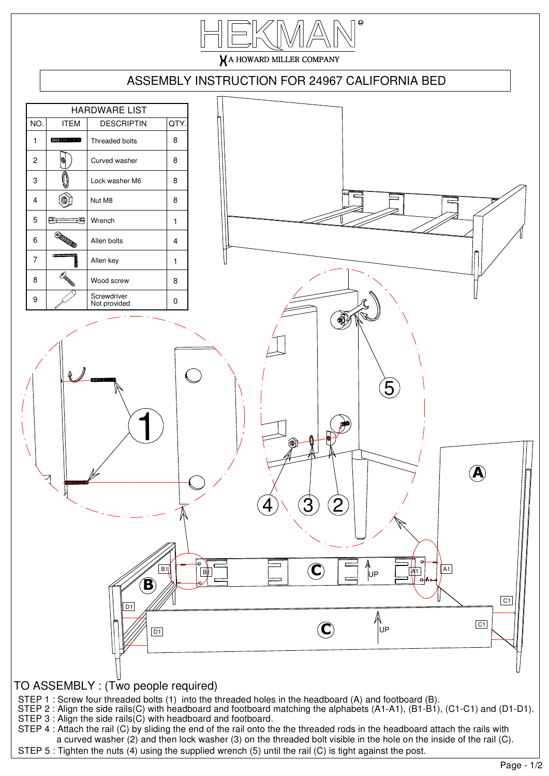

## TO ASSEMBLY : (Two people required)

STEP 1 : Screw four threaded bolts (1) into the threaded holes in the headboard (A) and footboard (B).

STEP 3 : Align the side rails(C) with headboard and footboard. STEP 2 : Align the side rails(C) with headboard and footboard matching the alphabets (A1-A1), (B1-B1), (C1-C1) and (D1-D1).

STEP 4 : Attach the rail (C) by sliding the end of the rail onto the the threaded rods in the headboard attach the rails with a curved washer (2) and then lock washer (3) on the threaded bolt visible in the hole on the inside of the rail (C). STEP 5 : Tighten the nuts (4) using the supplied wrench (5) until the rail (C) is tight against the post.